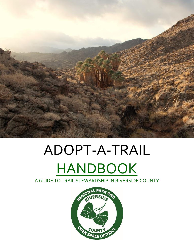

# ADOPT-A-TRAIL HANDBOOK

A GUIDE TO TRAIL STEWARDSHIP IN RIVERSIDE COUNTY

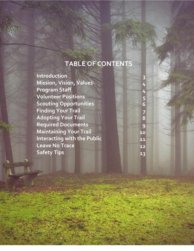### **TABLE OF CONTENTS**

2

**Introduction Mission, Vision, Values Program Staff Volunteer Positions Scouting Opportunities Finding Your Trail Adopting Your Trail Required Documents Maintaining Your Trail Interacting with the Public Leave No Trace Safety Tips**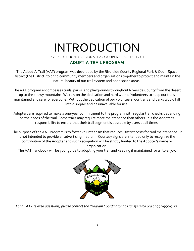### INTRODUCTION

RIVERSIDE COUNTY REGIONAL PARK & OPEN-SPACE DISTRICT

#### **ADOPT-A-TRAIL PROGRAM**

The Adopt-A-Trail (AAT) program was developed by the Riverside County Regional Park & Open-Space District (the District) to bring community members and organizations together to protect and maintain the natural beauty of our trail system and open space areas.

The AAT program encompasses trails, parks, and playgrounds throughout Riverside County from the desert up to the snowy mountains. We rely on the dedication and hard work of volunteers to keep our trails maintained and safe for everyone. Without the dedication of our volunteers, our trails and parks would fall into disrepair and be unavailable for use.

Adopters are required to make a one-year commitment to the program with regular trail checks depending on the needs of the trail. Some trails may require more maintenance than others. It is the Adopter's responsibility to ensure that their trail segment is passable by users at all times.

The purpose of the AAT Program is to foster volunteerism that reduces District costs for trail maintenance. It is not intended to provide an advertising medium. Courtesy signs are intended only to recognize the contribution of the Adopter and such recognition will be strictly limited to the Adopter's name or organization.

The AAT handbook will be your guide to adopting your trail and keeping it maintained for all to enjoy.



*For all AAT related questions, please contact the Program Coordinator at Trails@rivco.org or 951-955-5117.*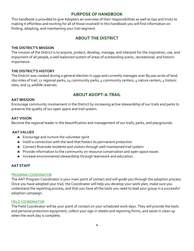#### **PURPOSE OF HANDBOOK**

This handbook is provided to give Adopters an overview of their responsibilities as well as tips and tricks to making it effortless and exciting for all of those involved! In this handbook you will find information on finding, adopting, and maintaining your trail segment.

#### **ABOUT THE DISTRICT**

#### **THE DISTRICT'S MISSION**

The mission of the District is to acquire, protect, develop, manage, and interpret for the inspiration, use, and enjoyment of all people, a well-balanced system of areas of outstanding scenic, recreational, and historic importance.

#### **THE DISTRICT'S HISTORY**

The District was created during a general election in 1990 and currently manages over 80,000 acres of land, 160 miles of trail, 11 regional parks, 14 community parks, 4 community centers, 4 nature centers, 4 historic sites, and 14 wildlife reserves.

#### **ABOUT ADOPT-A-TRAIL**

#### **AAT MISSION**

Encourage community involvement in the District by increasing active stewardship of our trails and parks to preserve the quality of our open space and trail system.

#### **AAT VISION**

Become the regional leader in the beautification and management of our trails, parks, and playgrounds.

#### **AAT VALUES**

- **\*** Encourage and nurture the volunteer spirit
- \* Instill a connection with the land that fosters its permanent protection
- **4** Connect Riverside residents and visitors through well-maintained trail system
- \* Provide information to the community on resource conservation and open space issues
- \* Increase environmental stewardship through teamwork and education.

#### **AAT STAFF**

#### PROGRAM COORDINATOR

The AAT Program Coordinator is your main point of contact and will guide you through the adoption process. Once you have adopted your trail, the Coordinator will help you develop your work plan, make sure you understand the reporting process, and that you have all the tools you need to lead your group in a successful adoption campaign.

#### FIELD COORDINATOR

The Field Coordinator will be your point of contact on your scheduled work days. They will provide the tools and personal protection equipment, collect your sign in sheets and reporting forms, and assist in clean up when the work day is complete.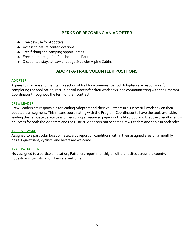#### **PERKS OF BECOMING AN ADOPTER**

- Free day-use for Adopters
- Access to nature center locations
- Free fishing and camping opportunities
- **\*** Free miniature golf at Rancho Jurupa Park
- **A** Discounted stays at Lawler Lodge & Lawler Alpine Cabins

#### **ADOPT-A-TRAIL VOLUNTEER POSITIONS**

#### ADOPTER

Agrees to manage and maintain a section of trail for a one-year period. Adopters are responsible for completing the application, recruiting volunteers for their work days, and communicating with the Program Coordinator throughout the term of their contract.

#### CREW LEADER

Crew Leaders are responsible for leading Adopters and their volunteers in a successful work day on their adopted trail segment. This means coordinating with the Program Coordinator to have the tools available, leading the Tail Gate Safety Session, ensuring all required paperwork is filled out, and that the overall event is a success for both the Adopters and the District. Adopters can become Crew Leaders and serve in both roles.

#### TRAIL STEWARD

Assigned to a particular location, Stewards report on conditions within their assigned area on a monthly basis. Equestrians, cyclists, and hikers are welcome.

#### TRAIL PATROLLER

**Not** assigned to a particular location, Patrollers report monthly on different sites across the county. Equestrians, cyclists, and hikers are welcome.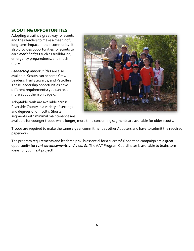#### **SCOUTING OPPORTUNITIES**

Adopting a trail is a great way for scouts and their leaders to make a meaningful, long-term impact in their community. It also provides opportunities for scouts to earn *merit badges* such as trailblazing, emergency preparedness, and much more!

*Leadership opportunities* are also available. Scouts can become Crew Leaders, Trail Stewards, and Patrollers. These leadership opportunities have different requirements; you can read more about them on page 5.

Adoptable trails are available across Riverside County in a variety of settings and degrees of difficulty. Shorter segments with minimal maintenance are



available for younger troops while longer, more time consuming segments are available for older scouts.

Troops are required to make the same 1-year commitment as other Adopters and have to submit the required paperwork.

The program requirements and leadership skills essential for a successful adoption campaign are a great opportunity for *rank advancements and awards.* The AAT Program Coordinator is available to brainstorm ideas for your next project!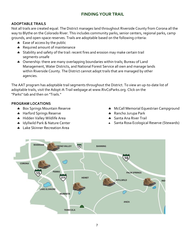#### **FINDING YOUR TRAIL**

#### **ADOPTABLE TRAILS**

Not all trails are created equal. The District manages land throughout Riverside County from Corona all the way to Blythe on the Colorado River. This includes community parks, senior centers, regional parks, camp grounds, and open-space reserves. Trails are adoptable based on the following criteria:

- \* Ease of access by the public
- \* Required amount of maintenance
- **Stability and safety of the trail: recent fires and erosion may make certain trail** segments unsafe
- \* Ownership: there are many overlapping boundaries within trails; Bureau of Land Management, Water Districts, and National Forest Service all own and manage lands within Riverside County. The District cannot adopt trails that are managed by other agencies.

The AAT program has adoptable trail segments throughout the District. To view an up-to-date list of adoptable trails, visit the Adopt-A-Trail webpage at www.RivCoParks.org. Click on the "Parks" tab and then on "Trails."

#### **PROGRAM LOCATIONS**

- **Box Springs Mountain Reserve**
- **\*** Harford Springs Reserve
- **\*** Hidden Valley Wildlife Area
- \* Idyllwild Park & Nature Center
- **\*** Lake Skinner Recreation Area
- **\*** McCall Memorial Equestrian Campground
- \* Rancho Jurupa Park
- **\*** Santa Ana River Trail
- Santa Rosa Ecological Reserve (Stewards)

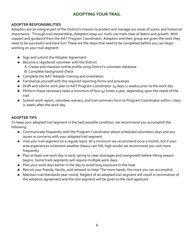#### **ADOPTING YOUR TRAIL**

#### **ADOPTER RESPONSIBILITIES**

Adopters are an integral part of the District's mission to protect and manage our areas of scenic and historical importance. Through trail stewardship, Adopters keep our multi-use trails clear of debris and growth. With support and guidance from the AAT Program Coordinator, Adopters and their group are given the tools they need to be successful and have fun! These are the steps that need to be completed before you can begin working on your trail segment:

- Sign and submit the Adopter Agreement
- **Become a registered volunteer with the District** 
	- A. Create and maintain online profile using District's volunteer database
	- B. Complete background check
- **4** Complete the AAT Adopter training and orientation
- **\*** Familiarize yourself with the required reporting forms and processes
- \* Draft and submit work plan to AAT Program Coordinator 14 days (2 weeks) prior to the work day
- $\clubsuit$  Perform these necessary tasks a minimum of four (4) times a year, depending upon the needs of the trail
- Submit work report, volunteer waivers, and trail summary form to Program Coordinator within 7 days (1 week) after the work day.

#### **ADOPTER TIPS**

To keep your adopted trail segment in the best possible condition, we recommend you accomplish the following:

- \* Communicate frequently with the Program Coordinator about scheduled volunteers days and any issues or concerns with your adopted trail segment
- \* Visit your trail segment on a regular basis. At a minimum we recommend once a month, but if your area experiences inclement weather (heavy rain fall, high winds) we recommend you visit more frequently
- \* Plan at least one work day in early spring to clear drainages and overgrowth before hiking season begins. Some trails segments will require multiple work days.
- Plan your work days earlier in the day to avoid long exposure to the heat
- \* Recruit your friends, family, and network to help! The more hands, the more you can accomplish
- \* Maintain trail standards year-round. Neglect of an adopted trail segment will result in termination of the adoption agreement and the trail segment will be given to the next applicant.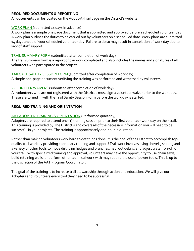#### **REQUIRED DOCUMENTS & REPORTING**

All documents can be located on the Adopt-A-Trail page on the District's website.

#### WORK PLAN (submitted 14 days in advance)

A work plan is a simple one page document that is submitted and approved before a scheduled volunteer day. A work plan outlines the duties to be carried out by volunteers on a scheduled date. Work plans are submitted 14 days ahead of your scheduled volunteer day. Failure to do so may result in cancelation of work day due to lack of staff support.

#### TRAIL SUMMARY FORM (submitted after completion of work day)

The trail summary form is a report of the work completed and also includes the names and signatures of all volunteers who participated in the project.

#### TAILGATE SAFETY SESSION FORM (submitted after completion of work day)

A simple one-page document verifying the training was performed and witnessed by volunteers.

#### VOLUNTEER WAIVERS (submitted after completion of work day)

All volunteers who are not registered with the District s must sign a volunteer waiver prior to the work day. These are turned in with the Trail Safety Session Form before the work day is started.

#### **REQUIRED TRAINING AND ORIENTATION**

#### AAT ADOPTER TRAINING & ORIENTATION (Performed quarterly)

Adopters are required to attend one (1) training session prior to their first volunteer work day on their trail. This training is provided by The District s and covers all of the necessary information you will need to be successful in your projects. The training is approximately one-hour in duration.

Rather than making volunteers work hard to get things done, it is the goal of the District to accomplish topquality trail work by providing exemplary training and support! Trail work involves using shovels, shears, and a variety of other tools to move dirt, trim hedges and branches, haul out debris, and adjust water run-off on your trail. With specialized training and approval, volunteers may have the opportunity to use chain saws, build retaining walls, or perform other technical work with may require the use of power tools. This is up to the discretion of the AAT Program Coordinator.

The goal of the training is to increase trail stewardship through action and education. We will give our Adopters and Volunteers every tool they need to be successful.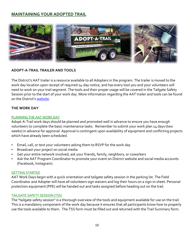#### **MAINTAINING YOUR ADOPTED TRAIL**



#### **ADOPT-A-TRAIL TRAILER AND TOOLS**

The District's AAT trailer is a resource available to all Adopters in the program. The trailer is moved to the work day location upon receipt of required 14-day notice, and has every tool you and your volunteers will need to work on your trail segment. The tools and their proper usage will be covered in the Tailgate Safety Session prior to the start of your work day. More information regarding the AAT trailer and tools can be found on the District's [website.](https://www.rivcoparks.org/)

#### **THE WORK DAY**

#### PLANNING THE AAT WORK DAY

Adopt-A-Trail work days should be planned and promoted well in advance to ensure you have enough volunteers to complete the basic maintenance tasks. Remember to submit your work plan 14 days (two weeks) in advance for approval. Approval is contingent upon availability of equipment and conflicting projects which have already been scheduled.

- Email, call, or text your volunteers asking them to RSVP for the work day
- Broadcast your project on social media
- Get your entire network involved; ask your friends, family, neighbors, or coworkers
- Ask the AAT Program Coordinator to promote your event on District website and social media accounts (Facebook, Instagram).

#### GETTING STARTED

AAT Work Days begin with a quick orientation and tailgate safety session in the parking lot. The Field Coordinator and Adopter will have all volunteers sign waivers and log their hours on a sign-in sheet. Personal protection equipment (PPE) will be handed out and tasks assigned before heading out on the trail.

#### TAILGATE SAFETY SESSION (TSS)

The "tailgate safety session" is a thorough overview of the tools and equipment available for use on the trail. This is a mandatory component of the work day because it ensures that all participants know how to properly use the tools available to them. The TSS form must be filled out and returned with the Trail Summary form.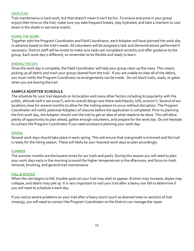#### HAVE FUN!

Trail maintenance is hard work, but that doesn't mean it can't be fun. To ensure everyone in your group enjoys their time on the trail, make sure you take frequent breaks, stay hydrated, and take a moment to cool down in the shade or eat some snacks.

#### DOING THE WORK

Together with the Program Coordinator and Field Coordinator, each Adopter will have planned the work day in advance based on the trail's needs. All volunteers will be assigned a task and demonstrations performed if necessary. District staff will be onsite to make sure tasks are completed correctly and offer guidance to the group. Each work day is different, so remember to be flexible and ready to learn.

#### ENDING THE DAY

Once the work day is complete, the Field Coordinator will help your group clean up the mess. This means picking up all debris and trash your group cleared from the trail. If you are unable to clear all of the debris, you must notify the Program Coordinator so arrangements can be made. Do not block trails, roads, or gates when you are leaving the trail.

#### **SAMPLE ADOPTER SCHEDULE**

The schedule for your trail depends on its location and many other factors including its popularity with the public, altitude (will it see snow?), and its overall design (are there switchbacks, hills, erosion?). Several of our locations close for several months to allow for the mating season to occur without disruption. The Program Coordinator will notify potential Adopters of closures before the application is completed. Prior to planning the first work day, the Adopter should visit the trail to get an idea of what needs to be done. This will allow plenty of opportunity to plan ahead, gather enough volunteers, and prepare for the work day. Do not hesitate to contact the Program Coordinator if you need assistance planning your work day.

#### SPRING

Several work days should take place in early spring. This will ensure that overgrowth is trimmed and the trail is ready for the hiking season. These will likely be your heaviest work days so plan accordingly.

#### SUMMER

The summer months are the busiest times for our trails and parks. During this season you will need to plan your work days early in the morning to avoid the higher temperatures in the afternoon, and focus on trash removal, brushing, and general trail maintenance.

#### FALL & WINTER

When the rain begins to fall, trouble spots on your trail may start to appear. Erosion may increase, slopes may collapse, and debris may pile up. It is very important to visit your trail after a heavy rain fall to determine if you will need to schedule a work day.

If you notice severe problems on your trail after a heavy storm (such as downed trees or sections of trail missing), you will need to contact the Program Coordinator so the District can manage the repair.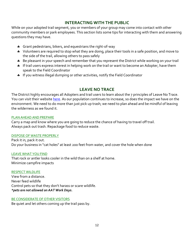#### **INTERACTING WITH THE PUBLIC**

While on your adopted trail segment, you or members of your group may come into contact with other community members or park employees. This section lists some tips for interacting with them and answering questions they may have.

- **\*** Grant pedestrians, bikers, and equestrians the right-of-way
- \* Volunteers are required to stop what they are doing, place their tools in a safe position, and move to the side of the trail, allowing others to pass safely
- \* Be pleasant in your speech and remember that you represent the District while working on your trail
- **\*** If trail users express interest in helping work on the trail or want to become an Adopter, have them speak to the Field Coordinator
- **\*** If you witness illegal dumping or other activities, notify the Field Coordinator

#### **LEAVE NO TRACE**

The District highly encourages all Adopters and trail users to learn about the 7 principles of Leave No Trace. You can visit their website [here.](https://lnt.org/) As our population continues to increase, so does the impact we have on the environment. We need to do more than just pick up trash; we need to plan ahead and be mindful of leaving the wilderness as we found it.

#### PLAN AHEAD AND PREPARE

Carry a map and know where you are going to reduce the chance of having to travel off trail. Always pack out trash. Repackage food to reduce waste.

#### DISPOSE OF WASTE PROPERLY

Pack it in, pack it out. Do your business in "cat holes" at least 200 feet from water, and cover the hole when done

#### LEAVE WHAT YOU FIND

That rock or antler looks cooler in the wild than on a shelf at home. Minimize campfire impacts

#### RESPECT WILDLIFE

View from a distance. Never feed wildlife Control pets so that they don't harass or scare wildlife. *\*pets are not allowed on AAT Work Days.*

#### BE CONSIDERATE OF OTHER VISITORS

Be quiet and let others coming up the trail pass by.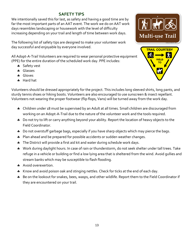#### **SAFETY TIPS**

We intentionally saved this for last, as safety and having a good time are by far the most important parts of an AAT event. The work we do on AAT work days resembles landscaping or housework with the level of difficulty increasing depending on your trail and length of time between work days.

The following list of safety tips are designed to make your volunteer work day successful and enjoyable by everyone involved.

All Adopt-A-Trail Volunteers are required to wear personal protective equipment (PPE) for the entire duration of the scheduled work day. PPE includes:

- \* Safety vest
- **A** Glasses
- **A** Gloves
- \* Hard hat



Volunteers should be dressed appropriately for the project. This includes long sleeved shirts, long pants, and sturdy tennis shoes or hiking boots. Volunteers are also encouraged to use sunscreen & insect repellant. Volunteers not wearing the proper footwear (flip flops, Vans) will be turned away from the work day.

- \* Children under 18 must be supervised by an Adult at all times. Small children are discouraged from working on an Adopt-A-Trail due to the nature of the volunteer work and the tools required.
- \* Do not try to lift or carry anything beyond your ability. Report the location of heavy objects to the Field Coordinator.
- \* Do not overstuff garbage bags, especially if you have sharp objects which may pierce the bags.
- \* Plan ahead and be prepared for possible accidents or sudden weather changes.
- The District will provide a first aid kit and water during schedule work days.
- \* Work during daylight hours. In case of rain or thunderstorm, do not seek shelter under tall trees. Take refuge in a vehicle or building or find a low lying area that is sheltered from the wind. Avoid gullies and stream banks which may be susceptible to flash flooding.
- \* Avoid overexertion.
- \* Know and avoid poison oak and stinging nettles. Check for ticks at the end of each day.
- \* Be on the lookout for snakes, bees, wasps, and other wildlife. Report them to the Field Coordinator if they are encountered on your trail.